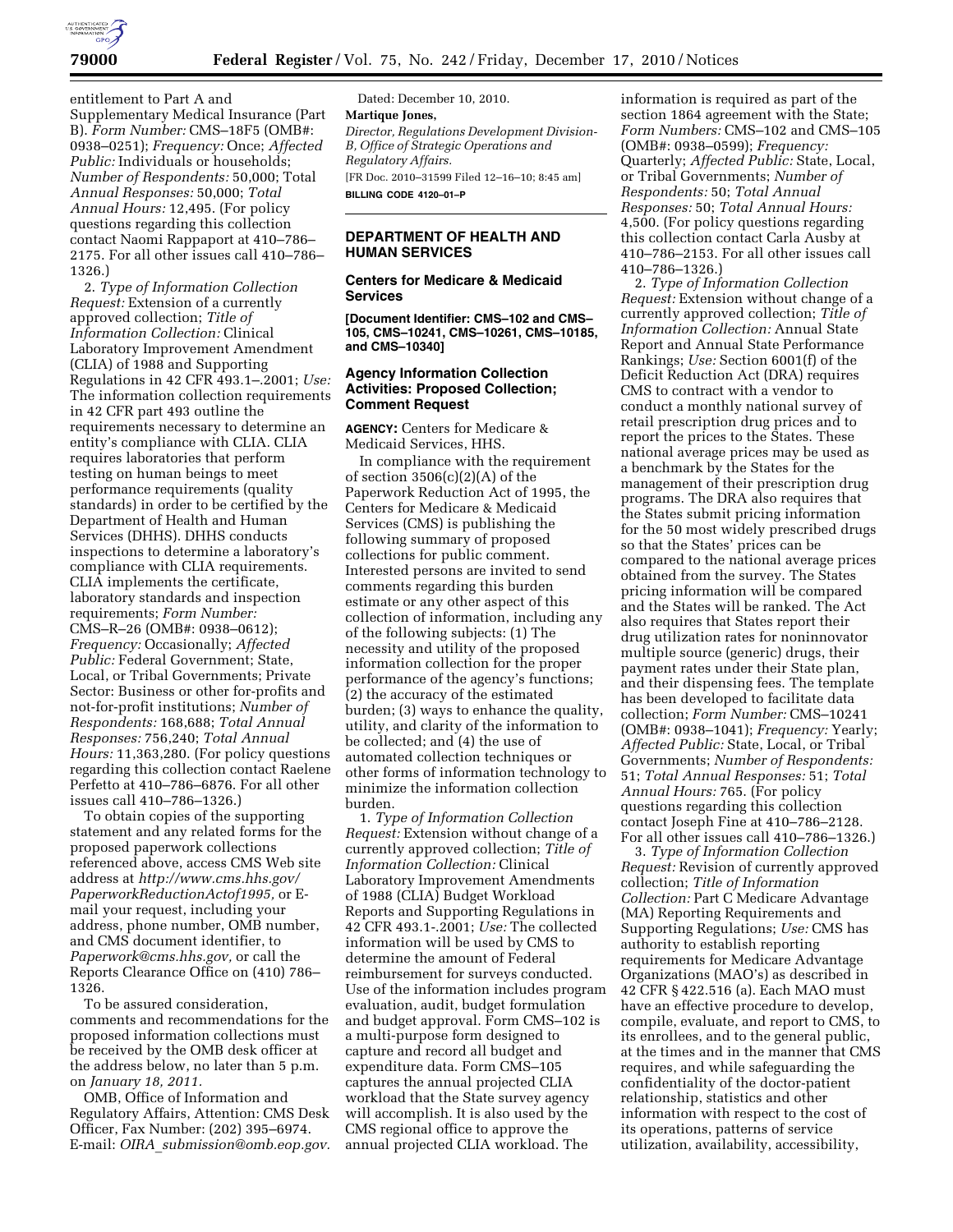

entitlement to Part A and Supplementary Medical Insurance (Part B). *Form Number:* CMS–18F5 (OMB#: 0938–0251); *Frequency:* Once; *Affected Public:* Individuals or households; *Number of Respondents:* 50,000; Total *Annual Responses:* 50,000; *Total Annual Hours:* 12,495. (For policy questions regarding this collection contact Naomi Rappaport at 410–786– 2175. For all other issues call 410–786– 1326.)

2. *Type of Information Collection Request:* Extension of a currently approved collection; *Title of Information Collection:* Clinical Laboratory Improvement Amendment (CLIA) of 1988 and Supporting Regulations in 42 CFR 493.1–.2001; *Use:*  The information collection requirements in 42 CFR part 493 outline the requirements necessary to determine an entity's compliance with CLIA. CLIA requires laboratories that perform testing on human beings to meet performance requirements (quality standards) in order to be certified by the Department of Health and Human Services (DHHS). DHHS conducts inspections to determine a laboratory's compliance with CLIA requirements. CLIA implements the certificate, laboratory standards and inspection requirements; *Form Number:*  CMS–R–26 (OMB#: 0938–0612); *Frequency:* Occasionally; *Affected Public:* Federal Government; State, Local, or Tribal Governments; Private Sector: Business or other for-profits and not-for-profit institutions; *Number of Respondents:* 168,688; *Total Annual Responses:* 756,240; *Total Annual Hours:* 11,363,280. (For policy questions regarding this collection contact Raelene Perfetto at 410–786–6876. For all other issues call 410–786–1326.)

To obtain copies of the supporting statement and any related forms for the proposed paperwork collections referenced above, access CMS Web site address at *[http://www.cms.hhs.gov/](http://www.cms.hhs.gov/PaperworkReductionActof1995)  [PaperworkReductionActof1995,](http://www.cms.hhs.gov/PaperworkReductionActof1995)* or Email your request, including your address, phone number, OMB number, and CMS document identifier, to *[Paperwork@cms.hhs.gov,](mailto:Paperwork@cms.hhs.gov)* or call the Reports Clearance Office on (410) 786– 1326.

To be assured consideration, comments and recommendations for the proposed information collections must be received by the OMB desk officer at the address below, no later than 5 p.m. on *January 18, 2011.* 

OMB, Office of Information and Regulatory Affairs, Attention: CMS Desk Officer, Fax Number: (202) 395–6974. E-mail: *OIRA*\_*[submission@omb.eop.gov.](mailto:OIRA_submission@omb.eop.gov)* 

Dated: December 10, 2010. **Martique Jones,**  *Director, Regulations Development Division-B, Office of Strategic Operations and Regulatory Affairs.*  [FR Doc. 2010–31599 Filed 12–16–10; 8:45 am] **BILLING CODE 4120–01–P** 

## **DEPARTMENT OF HEALTH AND HUMAN SERVICES**

### **Centers for Medicare & Medicaid Services**

**[Document Identifier: CMS–102 and CMS– 105, CMS–10241, CMS–10261, CMS–10185, and CMS–10340]** 

### **Agency Information Collection Activities: Proposed Collection; Comment Request**

**AGENCY:** Centers for Medicare & Medicaid Services, HHS.

In compliance with the requirement of section 3506(c)(2)(A) of the Paperwork Reduction Act of 1995, the Centers for Medicare & Medicaid Services (CMS) is publishing the following summary of proposed collections for public comment. Interested persons are invited to send comments regarding this burden estimate or any other aspect of this collection of information, including any of the following subjects: (1) The necessity and utility of the proposed information collection for the proper performance of the agency's functions; (2) the accuracy of the estimated burden; (3) ways to enhance the quality, utility, and clarity of the information to be collected; and (4) the use of automated collection techniques or other forms of information technology to minimize the information collection burden.

1. *Type of Information Collection Request:* Extension without change of a currently approved collection; *Title of Information Collection:* Clinical Laboratory Improvement Amendments of 1988 (CLIA) Budget Workload Reports and Supporting Regulations in 42 CFR 493.1-.2001; *Use:* The collected information will be used by CMS to determine the amount of Federal reimbursement for surveys conducted. Use of the information includes program evaluation, audit, budget formulation and budget approval. Form CMS–102 is a multi-purpose form designed to capture and record all budget and expenditure data. Form CMS–105 captures the annual projected CLIA workload that the State survey agency will accomplish. It is also used by the CMS regional office to approve the annual projected CLIA workload. The

information is required as part of the section 1864 agreement with the State; *Form Numbers:* CMS–102 and CMS–105 (OMB#: 0938–0599); *Frequency:*  Quarterly; *Affected Public:* State, Local, or Tribal Governments; *Number of Respondents:* 50; *Total Annual Responses:* 50; *Total Annual Hours:*  4,500. (For policy questions regarding this collection contact Carla Ausby at 410–786–2153. For all other issues call 410–786–1326.)

2. *Type of Information Collection Request:* Extension without change of a currently approved collection; *Title of Information Collection:* Annual State Report and Annual State Performance Rankings; *Use:* Section 6001(f) of the Deficit Reduction Act (DRA) requires CMS to contract with a vendor to conduct a monthly national survey of retail prescription drug prices and to report the prices to the States. These national average prices may be used as a benchmark by the States for the management of their prescription drug programs. The DRA also requires that the States submit pricing information for the 50 most widely prescribed drugs so that the States' prices can be compared to the national average prices obtained from the survey. The States pricing information will be compared and the States will be ranked. The Act also requires that States report their drug utilization rates for noninnovator multiple source (generic) drugs, their payment rates under their State plan, and their dispensing fees. The template has been developed to facilitate data collection; *Form Number:* CMS–10241 (OMB#: 0938–1041); *Frequency:* Yearly; *Affected Public:* State, Local, or Tribal Governments; *Number of Respondents:*  51; *Total Annual Responses:* 51; *Total Annual Hours:* 765. (For policy questions regarding this collection contact Joseph Fine at 410–786–2128. For all other issues call 410–786–1326.)

3. *Type of Information Collection Request:* Revision of currently approved collection; *Title of Information Collection:* Part C Medicare Advantage (MA) Reporting Requirements and Supporting Regulations; *Use:* CMS has authority to establish reporting requirements for Medicare Advantage Organizations (MAO's) as described in 42 CFR § 422.516 (a). Each MAO must have an effective procedure to develop, compile, evaluate, and report to CMS, to its enrollees, and to the general public, at the times and in the manner that CMS requires, and while safeguarding the confidentiality of the doctor-patient relationship, statistics and other information with respect to the cost of its operations, patterns of service utilization, availability, accessibility,